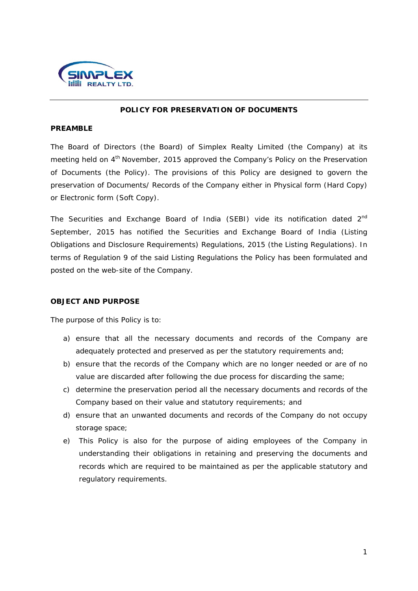

## **POLICY FOR PRESERVATION OF DOCUMENTS**

#### **PREAMBLE**

The Board of Directors (the Board) of Simplex Realty Limited (the Company) at its meeting held on 4<sup>th</sup> November, 2015 approved the Company's Policy on the Preservation of Documents (the Policy). The provisions of this Policy are designed to govern the preservation of Documents/ Records of the Company either in Physical form (Hard Copy) or Electronic form (Soft Copy).

The Securities and Exchange Board of India (SEBI) vide its notification dated 2<sup>nd</sup> September, 2015 has notified the Securities and Exchange Board of India (Listing Obligations and Disclosure Requirements) Regulations, 2015 (the Listing Regulations). In terms of Regulation 9 of the said Listing Regulations the Policy has been formulated and posted on the web-site of the Company.

## **OBJECT AND PURPOSE**

The purpose of this Policy is to:

- a) ensure that all the necessary documents and records of the Company are adequately protected and preserved as per the statutory requirements and;
- b) ensure that the records of the Company which are no longer needed or are of no value are discarded after following the due process for discarding the same;
- c) determine the preservation period all the necessary documents and records of the Company based on their value and statutory requirements; and
- d) ensure that an unwanted documents and records of the Company do not occupy storage space;
- e) This Policy is also for the purpose of aiding employees of the Company in understanding their obligations in retaining and preserving the documents and records which are required to be maintained as per the applicable statutory and regulatory requirements.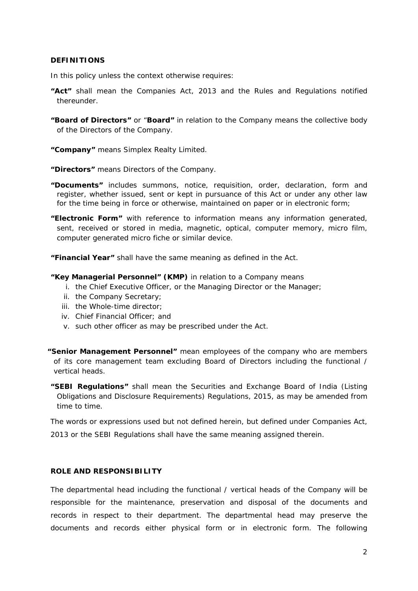## **DEFINITIONS**

In this policy unless the context otherwise requires:

- **"Act"** shall mean the Companies Act, 2013 and the Rules and Regulations notified thereunder.
- **"Board of Directors"** or "**Board"** in relation to the Company means the collective body of the Directors of the Company.
- **"Company"** means Simplex Realty Limited.
- **"Directors"** means Directors of the Company.
- **"Documents"** includes summons, notice, requisition, order, declaration, form and register, whether issued, sent or kept in pursuance of this Act or under any other law for the time being in force or otherwise, maintained on paper or in electronic form;
- **"Electronic Form"** with reference to information means any information generated, sent, received or stored in media, magnetic, optical, computer memory, micro film, computer generated micro fiche or similar device.

**"Financial Year"** shall have the same meaning as defined in the Act.

#### **"Key Managerial Personnel" (KMP)** in relation to a Company means

- i. the Chief Executive Officer, or the Managing Director or the Manager;
- ii. the Company Secretary;
- iii. the Whole-time director;
- iv. Chief Financial Officer; and
- v. such other officer as may be prescribed under the Act.
- **"Senior Management Personnel"** mean employees of the company who are members of its core management team excluding Board of Directors including the functional / vertical heads.
- **"SEBI Regulations"** shall mean the Securities and Exchange Board of India (Listing Obligations and Disclosure Requirements) Regulations, 2015, as may be amended from time to time.

The words or expressions used but not defined herein, but defined under Companies Act, 2013 or the SEBI Regulations shall have the same meaning assigned therein.

#### **ROLE AND RESPONSIBILITY**

The departmental head including the functional / vertical heads of the Company will be responsible for the maintenance, preservation and disposal of the documents and records in respect to their department. The departmental head may preserve the documents and records either physical form or in electronic form. The following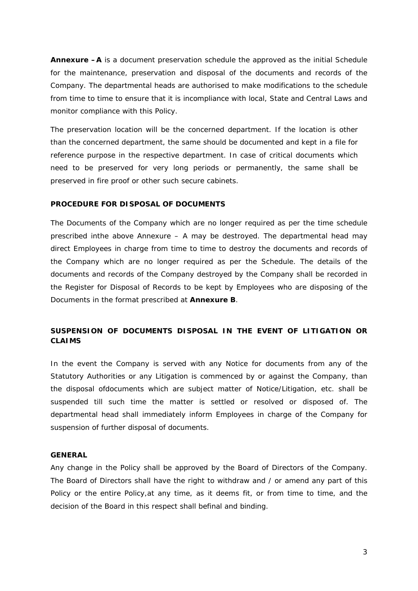**Annexure –A** is a document preservation schedule the approved as the initial Schedule for the maintenance, preservation and disposal of the documents and records of the Company. The departmental heads are authorised to make modifications to the schedule from time to time to ensure that it is incompliance with local, State and Central Laws and monitor compliance with this Policy.

The preservation location will be the concerned department. If the location is other than the concerned department, the same should be documented and kept in a file for reference purpose in the respective department. In case of critical documents which need to be preserved for very long periods or permanently, the same shall be preserved in fire proof or other such secure cabinets.

# **PROCEDURE FOR DISPOSAL OF DOCUMENTS**

The Documents of the Company which are no longer required as per the time schedule prescribed inthe above Annexure – A may be destroyed. The departmental head may direct Employees in charge from time to time to destroy the documents and records of the Company which are no longer required as per the Schedule. The details of the documents and records of the Company destroyed by the Company shall be recorded in the Register for Disposal of Records to be kept by Employees who are disposing of the Documents in the format prescribed at **Annexure B**.

# **SUSPENSION OF DOCUMENTS DISPOSAL IN THE EVENT OF LITIGATION OR CLAIMS**

In the event the Company is served with any Notice for documents from any of the Statutory Authorities or any Litigation is commenced by or against the Company, than the disposal ofdocuments which are subject matter of Notice/Litigation, etc. shall be suspended till such time the matter is settled or resolved or disposed of. The departmental head shall immediately inform Employees in charge of the Company for suspension of further disposal of documents.

#### **GENERAL**

Any change in the Policy shall be approved by the Board of Directors of the Company. The Board of Directors shall have the right to withdraw and / or amend any part of this Policy or the entire Policy,at any time, as it deems fit, or from time to time, and the decision of the Board in this respect shall befinal and binding.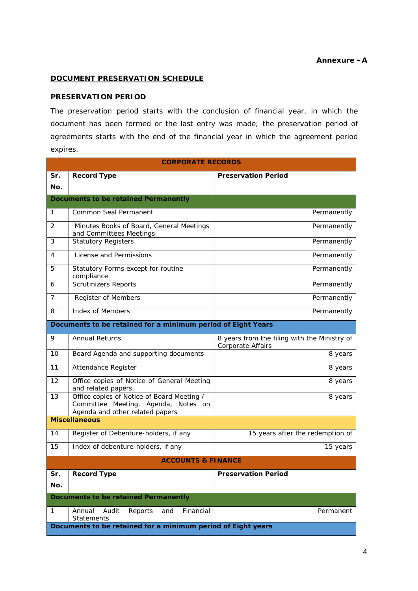# **Annexure –A**

## **DOCUMENT PRESERVATION SCHEDULE**

# **PRESERVATION PERIOD**

The preservation period starts with the conclusion of financial year, in which the document has been formed or the last entry was made; the preservation period of agreements starts with the end of the financial year in which the agreement period expires.

| <b>CORPORATE RECORDS</b>                                     |                                                                                                                      |                                                                   |  |
|--------------------------------------------------------------|----------------------------------------------------------------------------------------------------------------------|-------------------------------------------------------------------|--|
| Sr.                                                          | <b>Record Type</b>                                                                                                   | <b>Preservation Period</b>                                        |  |
| No.                                                          |                                                                                                                      |                                                                   |  |
| <b>Documents to be retained Permanently</b>                  |                                                                                                                      |                                                                   |  |
| 1                                                            | Common Seal Permanent                                                                                                | Permanently                                                       |  |
| 2                                                            | Minutes Books of Board, General Meetings<br>and Committees Meetings                                                  | Permanently                                                       |  |
| 3                                                            | <b>Statutory Registers</b>                                                                                           | Permanently                                                       |  |
| 4                                                            | License and Permissions                                                                                              | Permanently                                                       |  |
| 5                                                            | Statutory Forms except for routine<br>compliance                                                                     | Permanently                                                       |  |
| 6                                                            | <b>Scrutinizers Reports</b>                                                                                          | Permanently                                                       |  |
| 7                                                            | Register of Members                                                                                                  | Permanently                                                       |  |
| 8                                                            | <b>Index of Members</b>                                                                                              | Permanently                                                       |  |
| Documents to be retained for a minimum period of Eight Years |                                                                                                                      |                                                                   |  |
| 9                                                            | <b>Annual Returns</b>                                                                                                | 8 years from the filing with the Ministry of<br>Corporate Affairs |  |
| 10                                                           | Board Agenda and supporting documents                                                                                | 8 years                                                           |  |
| 11                                                           | Attendance Register                                                                                                  | 8 years                                                           |  |
| 12                                                           | Office copies of Notice of General Meeting<br>and related papers                                                     | 8 years                                                           |  |
| 13                                                           | Office copies of Notice of Board Meeting /<br>Committee Meeting, Agenda, Notes on<br>Agenda and other related papers | 8 years                                                           |  |
| <b>Miscellaneous</b>                                         |                                                                                                                      |                                                                   |  |
| 14                                                           | Register of Debenture-holders, if any                                                                                | 15 years after the redemption of                                  |  |
| 15                                                           | Index of debenture-holders, if any                                                                                   | 15 years                                                          |  |
|                                                              | <b>ACCOUNTS &amp; FINANCE</b>                                                                                        |                                                                   |  |
| Sr.                                                          | Record Type                                                                                                          | <b>Preservation Period</b>                                        |  |
| No.                                                          |                                                                                                                      |                                                                   |  |
| <b>Documents to be retained Permanently</b>                  |                                                                                                                      |                                                                   |  |
| 1                                                            | Audit<br>Financial<br>Annual<br>Reports<br>and<br><b>Statements</b>                                                  | Permanent                                                         |  |
|                                                              | Documents to be retained for a minimum period of Eight years                                                         |                                                                   |  |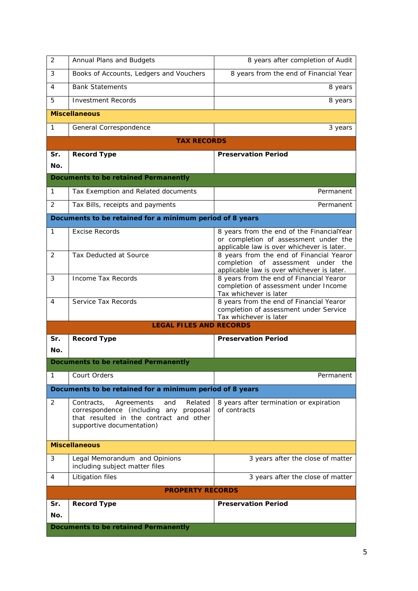| 2                                           | Annual Plans and Budgets                                                                                                                                     | 8 years after completion of Audit                                                                                                |  |
|---------------------------------------------|--------------------------------------------------------------------------------------------------------------------------------------------------------------|----------------------------------------------------------------------------------------------------------------------------------|--|
| 3                                           | Books of Accounts, Ledgers and Vouchers                                                                                                                      | 8 years from the end of Financial Year                                                                                           |  |
| 4                                           | <b>Bank Statements</b>                                                                                                                                       | 8 years                                                                                                                          |  |
| 5                                           | <b>Investment Records</b>                                                                                                                                    | 8 years                                                                                                                          |  |
|                                             | <b>Miscellaneous</b>                                                                                                                                         |                                                                                                                                  |  |
| 1                                           | General Correspondence                                                                                                                                       | 3 years                                                                                                                          |  |
|                                             | <b>TAX RECORDS</b>                                                                                                                                           |                                                                                                                                  |  |
| Sr.                                         | <b>Record Type</b>                                                                                                                                           | <b>Preservation Period</b>                                                                                                       |  |
| No.                                         |                                                                                                                                                              |                                                                                                                                  |  |
|                                             | <b>Documents to be retained Permanently</b>                                                                                                                  |                                                                                                                                  |  |
| 1                                           | Tax Exemption and Related documents                                                                                                                          | Permanent                                                                                                                        |  |
| 2                                           | Tax Bills, receipts and payments                                                                                                                             | Permanent                                                                                                                        |  |
|                                             | Documents to be retained for a minimum period of 8 years                                                                                                     |                                                                                                                                  |  |
| 1                                           | <b>Excise Records</b>                                                                                                                                        | 8 years from the end of the FinancialYear<br>or completion of assessment under the<br>applicable law is over whichever is later. |  |
| 2                                           | Tax Deducted at Source                                                                                                                                       | 8 years from the end of Financial Yearor<br>completion of assessment under the<br>applicable law is over whichever is later.     |  |
| 3                                           | <b>Income Tax Records</b>                                                                                                                                    | 8 years from the end of Financial Yearor<br>completion of assessment under Income<br>Tax whichever is later                      |  |
| 4                                           | Service Tax Records                                                                                                                                          | 8 years from the end of Financial Yearor<br>completion of assessment under Service<br>Tax whichever is later                     |  |
|                                             | <b>LEGAL FILES AND RECORDS</b>                                                                                                                               |                                                                                                                                  |  |
| Sr.                                         | <b>Record Type</b>                                                                                                                                           | <b>Preservation Period</b>                                                                                                       |  |
| No.                                         |                                                                                                                                                              |                                                                                                                                  |  |
|                                             | <b>Documents to be retained Permanently</b>                                                                                                                  |                                                                                                                                  |  |
| 1                                           | Court Orders                                                                                                                                                 | Permanent                                                                                                                        |  |
|                                             | Documents to be retained for a minimum period of 8 years                                                                                                     |                                                                                                                                  |  |
| 2                                           | Agreements<br>Related<br>Contracts,<br>and<br>correspondence (including any proposal<br>that resulted in the contract and other<br>supportive documentation) | 8 years after termination or expiration<br>of contracts                                                                          |  |
|                                             | <b>Miscellaneous</b>                                                                                                                                         |                                                                                                                                  |  |
| 3                                           | Legal Memorandum and Opinions<br>including subject matter files                                                                                              | 3 years after the close of matter                                                                                                |  |
| 4                                           | Litigation files                                                                                                                                             | 3 years after the close of matter                                                                                                |  |
|                                             | <b>PROPERTY RECORDS</b>                                                                                                                                      |                                                                                                                                  |  |
| Sr.                                         | <b>Record Type</b>                                                                                                                                           | <b>Preservation Period</b>                                                                                                       |  |
| No.                                         |                                                                                                                                                              |                                                                                                                                  |  |
| <b>Documents to be retained Permanently</b> |                                                                                                                                                              |                                                                                                                                  |  |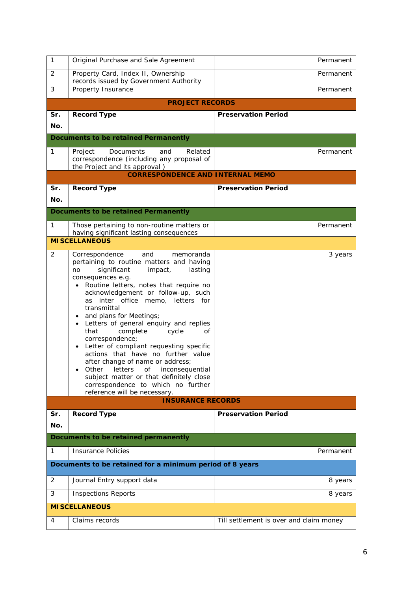| $\mathbf{1}$ | Original Purchase and Sale Agreement                                                                                                                                                                                                                                                                                                                                                                                                                                                                                                                                                                                                                                                                                     | Permanent                               |
|--------------|--------------------------------------------------------------------------------------------------------------------------------------------------------------------------------------------------------------------------------------------------------------------------------------------------------------------------------------------------------------------------------------------------------------------------------------------------------------------------------------------------------------------------------------------------------------------------------------------------------------------------------------------------------------------------------------------------------------------------|-----------------------------------------|
| 2            | Property Card, Index II, Ownership<br>records issued by Government Authority                                                                                                                                                                                                                                                                                                                                                                                                                                                                                                                                                                                                                                             | Permanent                               |
| 3            | Property Insurance                                                                                                                                                                                                                                                                                                                                                                                                                                                                                                                                                                                                                                                                                                       | Permanent                               |
|              | <b>PROJECT RECORDS</b>                                                                                                                                                                                                                                                                                                                                                                                                                                                                                                                                                                                                                                                                                                   |                                         |
| Sr.          | <b>Record Type</b>                                                                                                                                                                                                                                                                                                                                                                                                                                                                                                                                                                                                                                                                                                       | <b>Preservation Period</b>              |
| No.          |                                                                                                                                                                                                                                                                                                                                                                                                                                                                                                                                                                                                                                                                                                                          |                                         |
|              | <b>Documents to be retained Permanently</b>                                                                                                                                                                                                                                                                                                                                                                                                                                                                                                                                                                                                                                                                              |                                         |
| 1            | Project<br>Related<br><b>Documents</b><br>and<br>correspondence (including any proposal of<br>the Project and its approval)                                                                                                                                                                                                                                                                                                                                                                                                                                                                                                                                                                                              | Permanent                               |
|              | <b>CORRESPONDENCE AND INTERNAL MEMO</b>                                                                                                                                                                                                                                                                                                                                                                                                                                                                                                                                                                                                                                                                                  |                                         |
| Sr.          | <b>Record Type</b>                                                                                                                                                                                                                                                                                                                                                                                                                                                                                                                                                                                                                                                                                                       | <b>Preservation Period</b>              |
| No.          |                                                                                                                                                                                                                                                                                                                                                                                                                                                                                                                                                                                                                                                                                                                          |                                         |
|              | <b>Documents to be retained Permanently</b>                                                                                                                                                                                                                                                                                                                                                                                                                                                                                                                                                                                                                                                                              |                                         |
| 1            | Those pertaining to non-routine matters or<br>having significant lasting consequences                                                                                                                                                                                                                                                                                                                                                                                                                                                                                                                                                                                                                                    | Permanent                               |
|              | <b>MISCELLANEOUS</b>                                                                                                                                                                                                                                                                                                                                                                                                                                                                                                                                                                                                                                                                                                     |                                         |
| 2            | Correspondence<br>and<br>memoranda<br>pertaining to routine matters and having<br>significant<br>impact,<br>lasting<br>no<br>consequences e.g.<br>• Routine letters, notes that require no<br>acknowledgement or follow-up, such<br>as<br>inter office memo, letters for<br>transmittal<br>and plans for Meetings;<br>$\bullet$<br>• Letters of general enquiry and replies<br>complete<br>that<br>cycle<br>οf<br>correspondence;<br>Letter of compliant requesting specific<br>$\bullet$<br>actions that have no further value<br>after change of name or address;<br>Other letters of inconsequential<br>subject matter or that definitely close<br>correspondence to which no further<br>reference will be necessary. | 3 years                                 |
|              | <b>INSURANCE RECORDS</b>                                                                                                                                                                                                                                                                                                                                                                                                                                                                                                                                                                                                                                                                                                 |                                         |
| Sr.          | <b>Record Type</b>                                                                                                                                                                                                                                                                                                                                                                                                                                                                                                                                                                                                                                                                                                       | <b>Preservation Period</b>              |
| No.          |                                                                                                                                                                                                                                                                                                                                                                                                                                                                                                                                                                                                                                                                                                                          |                                         |
|              | Documents to be retained permanently                                                                                                                                                                                                                                                                                                                                                                                                                                                                                                                                                                                                                                                                                     |                                         |
| 1            | Insurance Policies                                                                                                                                                                                                                                                                                                                                                                                                                                                                                                                                                                                                                                                                                                       | Permanent                               |
|              | Documents to be retained for a minimum period of 8 years                                                                                                                                                                                                                                                                                                                                                                                                                                                                                                                                                                                                                                                                 |                                         |
| 2            | Journal Entry support data                                                                                                                                                                                                                                                                                                                                                                                                                                                                                                                                                                                                                                                                                               | 8 years                                 |
| 3            | <b>Inspections Reports</b>                                                                                                                                                                                                                                                                                                                                                                                                                                                                                                                                                                                                                                                                                               | 8 years                                 |
|              | <b>MISCELLANEOUS</b>                                                                                                                                                                                                                                                                                                                                                                                                                                                                                                                                                                                                                                                                                                     |                                         |
| 4            | Claims records                                                                                                                                                                                                                                                                                                                                                                                                                                                                                                                                                                                                                                                                                                           | Till settlement is over and claim money |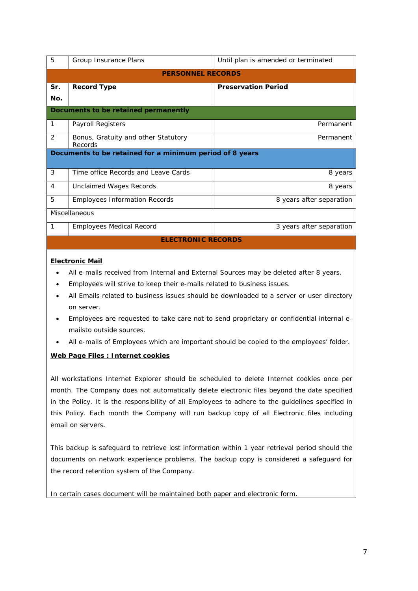| 5                                                        | Group Insurance Plans                                                                    | Until plan is amended or terminated |  |  |
|----------------------------------------------------------|------------------------------------------------------------------------------------------|-------------------------------------|--|--|
| <b>PERSONNEL RECORDS</b>                                 |                                                                                          |                                     |  |  |
| Sr.                                                      | <b>Record Type</b>                                                                       | <b>Preservation Period</b>          |  |  |
| No.                                                      |                                                                                          |                                     |  |  |
|                                                          | Documents to be retained permanently                                                     |                                     |  |  |
| $\mathbf{1}$                                             | Payroll Registers                                                                        | Permanent                           |  |  |
| 2                                                        | Bonus, Gratuity and other Statutory<br>Records                                           | Permanent                           |  |  |
| Documents to be retained for a minimum period of 8 years |                                                                                          |                                     |  |  |
| 3                                                        | Time office Records and Leave Cards                                                      | 8 years                             |  |  |
| 4                                                        | <b>Unclaimed Wages Records</b>                                                           | 8 years                             |  |  |
| 5                                                        | <b>Employees Information Records</b>                                                     | 8 years after separation            |  |  |
|                                                          | Miscellaneous                                                                            |                                     |  |  |
| $\mathbf{1}$                                             | <b>Employees Medical Record</b>                                                          | 3 years after separation            |  |  |
|                                                          | <b>ELECTRONIC RECORDS</b>                                                                |                                     |  |  |
| <b>Electronic Mail</b>                                   |                                                                                          |                                     |  |  |
|                                                          | All e-mails received from Internal and External Sources may be deleted after 8 years.    |                                     |  |  |
|                                                          | Employees will strive to keep their e-mails related to business issues.                  |                                     |  |  |
|                                                          | All Emails related to business issues should be downloaded to a server or user directory |                                     |  |  |
|                                                          | on server.                                                                               |                                     |  |  |
|                                                          | Employees are requested to take eare not to cand propriatory ar confidential internal o  |                                     |  |  |

- Employees are requested to take care not to send proprietary or confidential internal emailsto outside sources.
- All e-mails of Employees which are important should be copied to the employees' folder.

# **Web Page Files : Internet cookies**

All workstations Internet Explorer should be scheduled to delete Internet cookies once per month. The Company does not automatically delete electronic files beyond the date specified in the Policy. It is the responsibility of all Employees to adhere to the guidelines specified in this Policy. Each month the Company will run backup copy of all Electronic files including email on servers.

This backup is safeguard to retrieve lost information within 1 year retrieval period should the documents on network experience problems. The backup copy is considered a safeguard for the record retention system of the Company.

In certain cases document will be maintained both paper and electronic form.